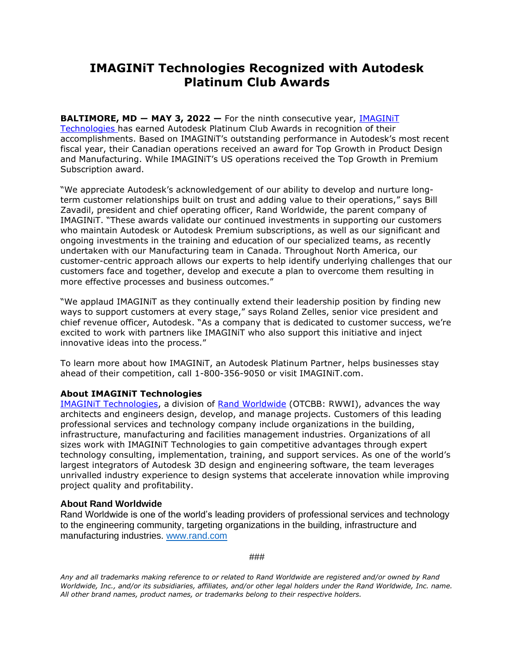## **IMAGINiT Technologies Recognized with Autodesk Platinum Club Awards**

**BALTIMORE, MD - MAY 3, 2022 -** For the ninth consecutive year, **IMAGINIT** [Technologies](http://www.imaginit.com/?utm_source=dynamic&utm_medium=press-release&utm_campaign=platinum-club-2022) has earned Autodesk Platinum Club Awards in recognition of their accomplishments. Based on IMAGINiT's outstanding performance in Autodesk's most recent fiscal year, their Canadian operations received an award for Top Growth in Product Design and Manufacturing. While IMAGINiT's US operations received the Top Growth in Premium Subscription award.

"We appreciate Autodesk's acknowledgement of our ability to develop and nurture longterm customer relationships built on trust and adding value to their operations," says Bill Zavadil, president and chief operating officer, Rand Worldwide, the parent company of IMAGINiT. "These awards validate our continued investments in supporting our customers who maintain Autodesk or Autodesk Premium subscriptions, as well as our significant and ongoing investments in the training and education of our specialized teams, as recently undertaken with our Manufacturing team in Canada. Throughout North America, our customer-centric approach allows our experts to help identify underlying challenges that our customers face and together, develop and execute a plan to overcome them resulting in more effective processes and business outcomes."

"We applaud IMAGINiT as they continually extend their leadership position by finding new ways to support customers at every stage," says Roland Zelles, senior vice president and chief revenue officer, Autodesk. "As a company that is dedicated to customer success, we're excited to work with partners like IMAGINiT who also support this initiative and inject innovative ideas into the process."

To learn more about how IMAGINiT, an Autodesk Platinum Partner, helps businesses stay ahead of their competition, call 1-800-356-9050 or visit IMAGINiT.com.

## **About IMAGINiT Technologies**

[IMAGINiT Technologies,](http://www.imaginit.com/?utm_source=dynamic&utm_medium=press-release&utm_campaign=platinum-club-2022) a division of [Rand Worldwide](http://www.rand.com/?utm_source=dynamic&utm_medium=press-release&utm_campaign=platinum-club-2022) (OTCBB: RWWI), advances the way architects and engineers design, develop, and manage projects. Customers of this leading professional services and technology company include organizations in the building, infrastructure, manufacturing and facilities management industries. Organizations of all sizes work with IMAGINiT Technologies to gain competitive advantages through expert technology consulting, implementation, training, and support services. As one of the world's largest integrators of Autodesk 3D design and engineering software, the team leverages unrivalled industry experience to design systems that accelerate innovation while improving project quality and profitability.

## **About Rand Worldwide**

Rand Worldwide is one of the world's leading providers of professional services and technology to the engineering community, targeting organizations in the building, infrastructure and manufacturing industries. [www.rand.com](https://rand.com/?utm_source=dynamic&utm_medium=press-release&utm_campaign=platinum-club-2022)

*###*

*Any and all trademarks making reference to or related to Rand Worldwide are registered and/or owned by Rand Worldwide, Inc., and/or its subsidiaries, affiliates, and/or other legal holders under the Rand Worldwide, Inc. name. All other brand names, product names, or trademarks belong to their respective holders.*